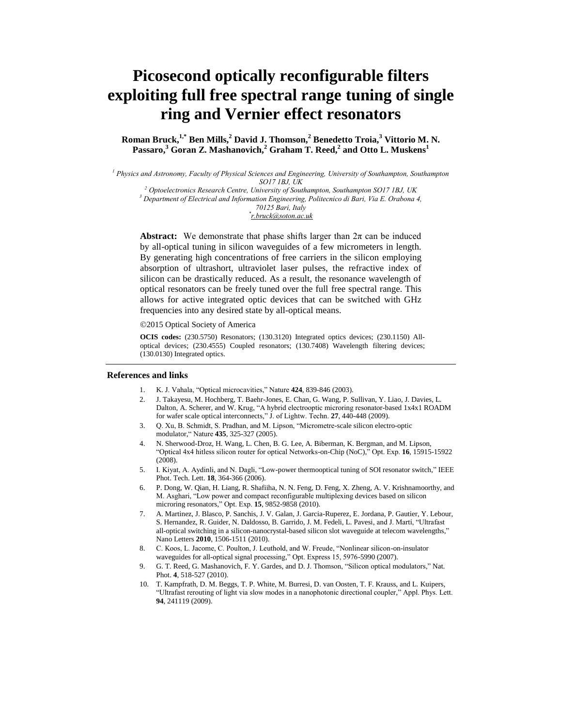# **Picosecond optically reconfigurable filters exploiting full free spectral range tuning of single ring and Vernier effect resonators**

**Roman Bruck, 1,\* Ben Mills,<sup>2</sup> David J. Thomson,<sup>2</sup> Benedetto Troia,<sup>3</sup> Vittorio M. N. Passaro,<sup>3</sup> Goran Z. Mashanovich,<sup>2</sup> Graham T. Reed,<sup>2</sup> and Otto L. Muskens<sup>1</sup>**

*<sup>1</sup> Physics and Astronomy, Faculty of Physical Sciences and Engineering, University of Southampton, Southampton SO17 1BJ, UK*

*<sup>2</sup> Optoelectronics Research Centre, University of Southampton, Southampton SO17 1BJ, UK*

*<sup>3</sup> Department of Electrical and Information Engineering, Politecnico di Bari, Via E. Orabona 4,*

*70125 Bari, Italy*

*\* r.bruck@soton.ac.uk*

**Abstract:** We demonstrate that phase shifts larger than  $2\pi$  can be induced by all-optical tuning in silicon waveguides of a few micrometers in length. By generating high concentrations of free carriers in the silicon employing absorption of ultrashort, ultraviolet laser pulses, the refractive index of silicon can be drastically reduced. As a result, the resonance wavelength of optical resonators can be freely tuned over the full free spectral range. This allows for active integrated optic devices that can be switched with GHz frequencies into any desired state by all-optical means.

2015 Optical Society of America

**OCIS codes:** (230.5750) Resonators; (130.3120) Integrated optics devices; (230.1150) Alloptical devices; (230.4555) Coupled resonators; (130.7408) Wavelength filtering devices; (130.0130) Integrated optics.

#### **References and links**

- 1. K. J. Vahala, "Optical microcavities," Nature **424**, 839-846 (2003).
- 2. J. Takayesu, M. Hochberg, T. Baehr-Jones, E. Chan, G. Wang, P. Sullivan, Y. Liao, J. Davies, L. Dalton, A. Scherer, and W. Krug, "A hybrid electrooptic microring resonator-based 1x4x1 ROADM for wafer scale optical interconnects," J. of Lightw. Techn. **27**, 440-448 (2009).
- 3. Q. Xu, B. Schmidt, S. Pradhan, and M. Lipson, "Micrometre-scale silicon electro-optic modulator," Nature **435**, 325-327 (2005).
- 4. N. Sherwood-Droz, H. Wang, L. Chen, B. G. Lee, A. Biberman, K. Bergman, and M. Lipson, "Optical 4x4 hitless silicon router for optical Networks-on-Chip (NoC)," Opt. Exp. **16**, 15915-15922 (2008).
- 5. I. Kiyat, A. Aydinli, and N. Dagli, "Low-power thermooptical tuning of SOI resonator switch," IEEE Phot. Tech. Lett. **18**, 364-366 (2006).
- 6. P. Dong, W. Qian, H. Liang, R. Shafiiha, N. N. Feng, D. Feng, X. Zheng, A. V. Krishnamoorthy, and M. Asghari, "Low power and compact reconfigurable multiplexing devices based on silicon microring resonators," Opt. Exp. **15**, 9852-9858 (2010).
- 7. A. Martinez, J. Blasco, P. Sanchis, J. V. Galan, J. Garcia-Ruperez, E. Jordana, P. Gautier, Y. Lebour, S. Hernandez, R. Guider, N. Daldosso, B. Garrido, J. M. Fedeli, L. Pavesi, and J. Martí, "Ultrafast all-optical switching in a silicon-nanocrystal-based silicon slot waveguide at telecom wavelengths," Nano Letters **2010**, 1506-1511 (2010).
- 8. C. Koos, L. Jacome, C. Poulton, J. Leuthold, and W. Freude, "Nonlinear silicon-on-insulator waveguides for all-optical signal processing," Opt. Express 15, 5976-5990 (2007).
- 9. G. T. Reed, G. Mashanovich, F. Y. Gardes, and D. J. Thomson, "Silicon optical modulators," Nat. Phot. **4**, 518-527 (2010).
- 10. T. Kampfrath, D. M. Beggs, T. P. White, M. Burresi, D. van Oosten, T. F. Krauss, and L. Kuipers, "Ultrafast rerouting of light via slow modes in a nanophotonic directional coupler," Appl. Phys. Lett. **94**, 241119 (2009).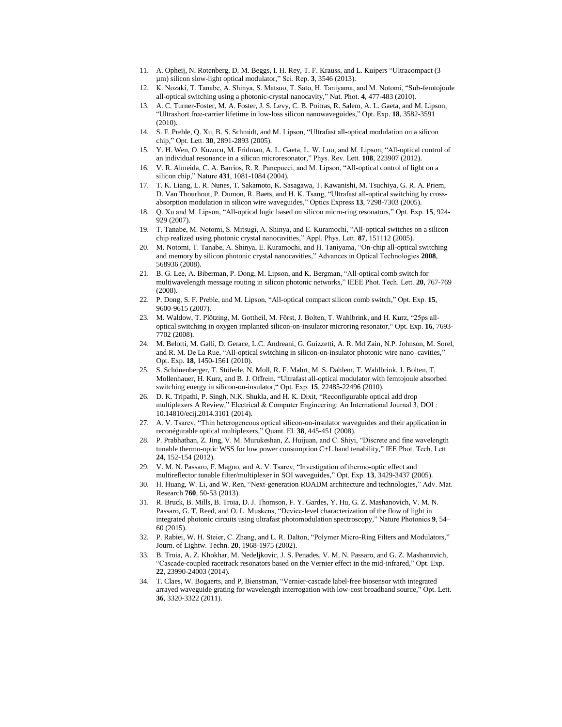- 11. A. Opheij, N. Rotenberg, D. M. Beggs, I. H. Rey, T. F. Krauss, and L. Kuipers "Ultracompact (3 µm) silicon slow-light optical modulator," Sci. Rep. **3**, 3546 (2013).
- 12. K. Nozaki, T. Tanabe, A. Shinya, S. Matsuo, T. Sato, H. Taniyama, and M. Notomi, "Sub-femtojoule all-optical switching using a photonic-crystal nanocavity," Nat. Phot. **4**, 477-483 (2010).
- 13. A. C. Turner-Foster, M. A. Foster, J. S. Levy, C. B. Poitras, R. Salem, A. L. Gaeta, and M. Lipson, "Ultrashort free-carrier lifetime in low-loss silicon nanowaveguides," Opt. Exp. **18**, 3582-3591 (2010).
- 14. S. F. Preble, Q. Xu, B. S. Schmidt, and M. Lipson, "Ultrafast all-optical modulation on a silicon chip," Opt. Lett. **30**, 2891-2893 (2005).
- 15. Y. H. Wen, O. Kuzucu, M. Fridman, A. L. Gaeta, L. W. Luo, and M. Lipson, "All-optical control of an individual resonance in a silicon microresonator," Phys. Rev. Lett. **108**, 223907 (2012).
- 16. V. R. Almeida, C. A. Barrios, R. R. Panepucci, and M. Lipson, "All-optical control of light on a silicon chip," Nature **431**, 1081-1084 (2004).
- 17. T. K. Liang, L. R. Nunes, T. Sakamoto, K. Sasagawa, T. Kawanishi, M. Tsuchiya, G. R. A. Priem, D. Van Thourhout, P. Dumon, R. Baets, and H. K. Tsang, "Ultrafast all-optical switching by crossabsorption modulation in silicon wire waveguides," Optics Express **13**, 7298-7303 (2005).
- 18. Q. Xu and M. Lipson, "All-optical logic based on silicon micro-ring resonators," Opt. Exp. **15**, 924- 929 (2007).
- 19. T. Tanabe, M. Notomi, S. Mitsugi, A. Shinya, and E. Kuramochi, "All-optical switches on a silicon chip realized using photonic crystal nanocavities," Appl. Phys. Lett. **87**, 151112 (2005).
- 20. M. Notomi, T. Tanabe, A. Shinya, E. Kuramochi, and H. Taniyama, "On-chip all-optical switching and memory by silicon photonic crystal nanocavities," Advances in Optical Technologies **2008**, 568936 (2008).
- 21. B. G. Lee, A. Biberman, P. Dong, M. Lipson, and K. Bergman, "All-optical comb switch for multiwavelength message routing in silicon photonic networks," IEEE Phot. Tech. Lett. **20**, 767-769 (2008).
- 22. P. Dong, S. F. Preble, and M. Lipson, "All-optical compact silicon comb switch," Opt. Exp. **15**, 9600-9615 (2007).
- 23. M. Waldow, T. Plötzing, M. Gottheil, M. Först, J. Bolten, T. Wahlbrink, and H. Kurz, "25ps alloptical switching in oxygen implanted silicon-on-insulator microring resonator," Opt. Exp. **16**, 7693- 7702 (2008).
- 24. M. Belotti, M. Galli, D. Gerace, L.C. Andreani, G. Guizzetti, A. R. Md Zain, N.P. Johnson, M. Sorel, and R. M. De La Rue, "All-optical switching in silicon-on-insulator photonic wire nano–cavities," Opt. Exp. **18**, 1450-1561 (2010).
- 25. S. Schönenberger, T. Stöferle, N. Moll, R. F. Mahrt, M. S. Dahlem, T. Wahlbrink, J. Bolten, T. Mollenhauer, H. Kurz, and B. J. Offrein, "Ultrafast all-optical modulator with femtojoule absorbed switching energy in silicon-on-insulator," Opt. Exp. **15**, 22485-22496 (2010).
- 26. D. K. Tripathi, P. Singh, N.K. Shukla, and H. K. Dixit, "Reconfigurable optical add drop multiplexers A Review," Electrical & Computer Engineering: An International Journal 3, DOI : 10.14810/ecij.2014.3101 (2014).
- 27. A. V. Tsarev, "Thin heterogeneous optical silicon-on-insulator waveguides and their application in reconégurable optical multiplexers," Quant. El. **38**, 445-451 (2008).
- 28. P. Prabhathan, Z. Jing, V. M. Murukeshan, Z. Huijuan, and C. Shiyi, "Discrete and fine wavelength tunable thermo-optic WSS for low power consumption C+L band tenability," IEE Phot. Tech. Lett **24**, 152-154 (2012).
- 29. V. M. N. Passaro, F. Magno, and A. V. Tsarev, "Investigation of thermo-optic effect and multireflector tunable filter/multiplexer in SOI waveguides," Opt. Exp. **13**, 3429-3437 (2005).
- 30. H. Huang, W. Li, and W. Ren, "Next-generation ROADM architecture and technologies," Adv. Mat. Research **760**, 50-53 (2013).
- 31. R. Bruck, B. Mills, B. Troia, D. J. Thomson, F. Y. Gardes, Y. Hu, G. Z. Mashanovich, V. M. N. Passaro, G. T. Reed, and O. L. Muskens, "Device-level characterization of the flow of light in integrated photonic circuits using ultrafast photomodulation spectroscopy," Nature Photonics **9**, 54– 60 (2015).
- 32. P. Rabiei, W. H. Steier, C. Zhang, and L. R. Dalton, "Polymer Micro-Ring Filters and Modulators," Journ. of Lightw. Techn. **20**, 1968-1975 (2002).
- 33. B. Troia, A. Z. Khokhar, M. Nedeljkovic, J. S. Penades, V. M. N. Passaro, and G. Z. Mashanovich, "Cascade-coupled racetrack resonators based on the Vernier effect in the mid-infrared," Opt. Exp. **22**, 23990-24003 (2014).
- 34. T. Claes, W. Bogaerts, and P, Bienstman, "Vernier-cascade label-free biosensor with integrated arrayed waveguide grating for wavelength interrogation with low-cost broadband source," Opt. Lett. **36**, 3320-3322 (2011).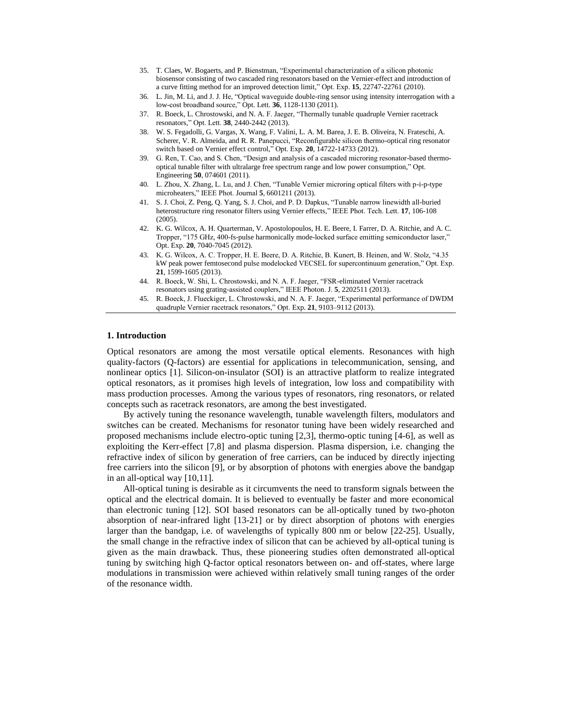- 35. T. Claes, W. Bogaerts, and P. Bienstman, "Experimental characterization of a silicon photonic biosensor consisting of two cascaded ring resonators based on the Vernier-effect and introduction of a curve fitting method for an improved detection limit," Opt. Exp. **15**, 22747-22761 (2010).
- 36. L. Jin, M. Li, and J. J. He, "Optical waveguide double-ring sensor using intensity interrogation with a low-cost broadband source," Opt. Lett. **36**, 1128-1130 (2011).
- 37. R. Boeck, L. Chrostowski, and N. A. F. Jaeger, "Thermally tunable quadruple Vernier racetrack resonators," Opt. Lett. **38**, 2440-2442 (2013).
- 38. W. S. Fegadolli, G. Vargas, X. Wang, F. Valini, L. A. M. Barea, J. E. B. Oliveira, N. Frateschi, A. Scherer, V. R. Almeida, and R. R. Panepucci, "Reconfigurable silicon thermo-optical ring resonator switch based on Vernier effect control," Opt. Exp. **20**, 14722-14733 (2012).
- 39. G. Ren, T. Cao, and S. Chen, "Design and analysis of a cascaded microring resonator-based thermooptical tunable filter with ultralarge free spectrum range and low power consumption," Opt. Engineering **50**, 074601 (2011).
- 40. L. Zhou, X. Zhang, L. Lu, and J. Chen, "Tunable Vernier microring optical filters with p-i-p-type microheaters," IEEE Phot. Journal **5**, 6601211 (2013).
- 41. S. J. Choi, Z. Peng, Q. Yang, S. J. Choi, and P. D. Dapkus, "Tunable narrow linewidth all-buried heterostructure ring resonator filters using Vernier effects," IEEE Phot. Tech. Lett. **17**, 106-108 (2005).
- 42. K. G. Wilcox, A. H. Quarterman, V. Apostolopoulos, H. E. Beere, I. Farrer, D. A. Ritchie, and A. C. Tropper, "175 GHz, 400-fs-pulse harmonically mode-locked surface emitting semiconductor laser," Opt. Exp. **20**, 7040-7045 (2012).
- 43. K. G. Wilcox, A. C. Tropper, H. E. Beere, D. A. Ritchie, B. Kunert, B. Heinen, and W. Stolz, "4.35 kW peak power femtosecond pulse modelocked VECSEL for supercontinuum generation," Opt. Exp. **21**, 1599-1605 (2013).
- 44. R. Boeck, W. Shi, L. Chrostowski, and N. A. F. Jaeger, "FSR-eliminated Vernier racetrack resonators using grating-assisted couplers," IEEE Photon. J. **5**, 2202511 (2013).
- 45. R. Boeck, J. Flueckiger, L. Chrostowski, and N. A. F. Jaeger, "Experimental performance of DWDM quadruple Vernier racetrack resonators," Opt. Exp. **21**, 9103–9112 (2013).

#### **1. Introduction**

Optical resonators are among the most versatile optical elements. Resonances with high quality-factors (Q-factors) are essential for applications in telecommunication, sensing, and nonlinear optics [1]. Silicon-on-insulator (SOI) is an attractive platform to realize integrated optical resonators, as it promises high levels of integration, low loss and compatibility with mass production processes. Among the various types of resonators, ring resonators, or related concepts such as racetrack resonators, are among the best investigated.

By actively tuning the resonance wavelength, tunable wavelength filters, modulators and switches can be created. Mechanisms for resonator tuning have been widely researched and proposed mechanisms include electro-optic tuning [2,3], thermo-optic tuning [4-6], as well as exploiting the Kerr-effect [7,8] and plasma dispersion. Plasma dispersion, i.e. changing the refractive index of silicon by generation of free carriers, can be induced by directly injecting free carriers into the silicon [9], or by absorption of photons with energies above the bandgap in an all-optical way [10,11].

All-optical tuning is desirable as it circumvents the need to transform signals between the optical and the electrical domain. It is believed to eventually be faster and more economical than electronic tuning [12]. SOI based resonators can be all-optically tuned by two-photon absorption of near-infrared light [13-21] or by direct absorption of photons with energies larger than the bandgap, i.e. of wavelengths of typically 800 nm or below [22-25]. Usually, the small change in the refractive index of silicon that can be achieved by all-optical tuning is given as the main drawback. Thus, these pioneering studies often demonstrated all-optical tuning by switching high Q-factor optical resonators between on- and off-states, where large modulations in transmission were achieved within relatively small tuning ranges of the order of the resonance width.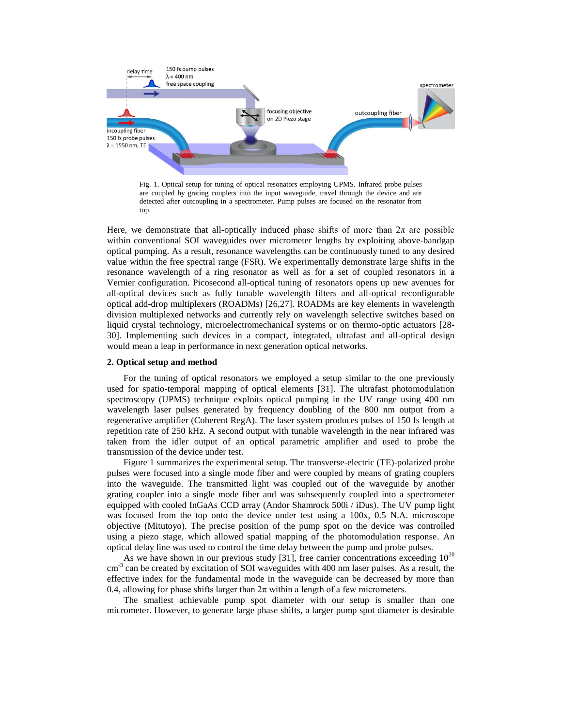

Fig. 1. Optical setup for tuning of optical resonators employing UPMS. Infrared probe pulses are coupled by grating couplers into the input waveguide, travel through the device and are detected after outcoupling in a spectrometer. Pump pulses are focused on the resonator from top.

Here, we demonstrate that all-optically induced phase shifts of more than  $2\pi$  are possible within conventional SOI waveguides over micrometer lengths by exploiting above-bandgap optical pumping. As a result, resonance wavelengths can be continuously tuned to any desired value within the free spectral range (FSR). We experimentally demonstrate large shifts in the resonance wavelength of a ring resonator as well as for a set of coupled resonators in a Vernier configuration. Picosecond all-optical tuning of resonators opens up new avenues for all-optical devices such as fully tunable wavelength filters and all-optical reconfigurable optical add-drop multiplexers (ROADMs) [26,27]. ROADMs are key elements in wavelength division multiplexed networks and currently rely on wavelength selective switches based on liquid crystal technology, microelectromechanical systems or on thermo-optic actuators [28- 30]. Implementing such devices in a compact, integrated, ultrafast and all-optical design would mean a leap in performance in next generation optical networks.

#### **2. Optical setup and method**

For the tuning of optical resonators we employed a setup similar to the one previously used for spatio-temporal mapping of optical elements [31]. The ultrafast photomodulation spectroscopy (UPMS) technique exploits optical pumping in the UV range using 400 nm wavelength laser pulses generated by frequency doubling of the 800 nm output from a regenerative amplifier (Coherent RegA). The laser system produces pulses of 150 fs length at repetition rate of 250 kHz. A second output with tunable wavelength in the near infrared was taken from the idler output of an optical parametric amplifier and used to probe the transmission of the device under test.

Figure 1 summarizes the experimental setup. The transverse-electric (TE)-polarized probe pulses were focused into a single mode fiber and were coupled by means of grating couplers into the waveguide. The transmitted light was coupled out of the waveguide by another grating coupler into a single mode fiber and was subsequently coupled into a spectrometer equipped with cooled InGaAs CCD array (Andor Shamrock 500i / iDus). The UV pump light was focused from the top onto the device under test using a 100x, 0.5 N.A. microscope objective (Mitutoyo). The precise position of the pump spot on the device was controlled using a piezo stage, which allowed spatial mapping of the photomodulation response. An optical delay line was used to control the time delay between the pump and probe pulses.

As we have shown in our previous study [31], free carrier concentrations exceeding  $10^{20}$  $\text{cm}^{-3}$  can be created by excitation of SOI waveguides with 400 nm laser pulses. As a result, the effective index for the fundamental mode in the waveguide can be decreased by more than 0.4, allowing for phase shifts larger than  $2\pi$  within a length of a few micrometers.

The smallest achievable pump spot diameter with our setup is smaller than one micrometer. However, to generate large phase shifts, a larger pump spot diameter is desirable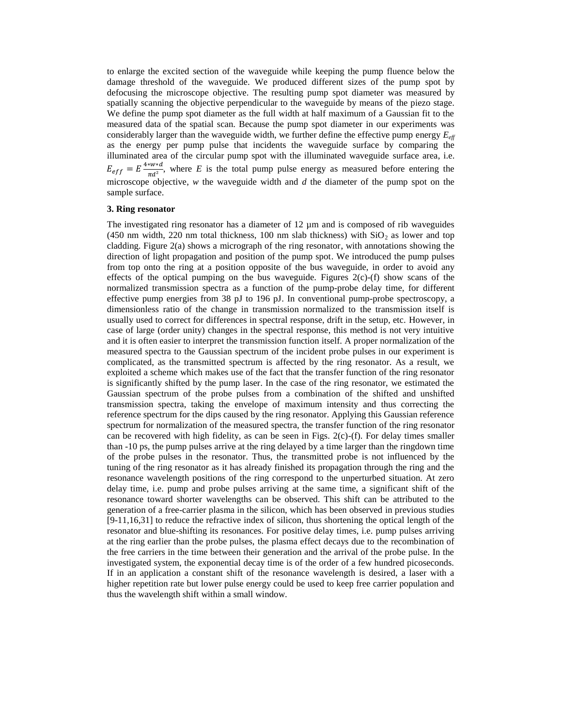to enlarge the excited section of the waveguide while keeping the pump fluence below the damage threshold of the waveguide. We produced different sizes of the pump spot by defocusing the microscope objective. The resulting pump spot diameter was measured by spatially scanning the objective perpendicular to the waveguide by means of the piezo stage. We define the pump spot diameter as the full width at half maximum of a Gaussian fit to the measured data of the spatial scan. Because the pump spot diameter in our experiments was considerably larger than the waveguide width, we further define the effective pump energy *Eeff* as the energy per pump pulse that incidents the waveguide surface by comparing the illuminated area of the circular pump spot with the illuminated waveguide surface area, i.e.  $E_{eff} = E \frac{4*w*d}{\pi d^2}$  $\frac{2\pi a^{2}}{\pi a^{2}}$ , where *E* is the total pump pulse energy as measured before entering the microscope objective, *w* the waveguide width and *d* the diameter of the pump spot on the sample surface.

### **3. Ring resonator**

The investigated ring resonator has a diameter of 12  $\mu$ m and is composed of rib waveguides (450 nm width, 220 nm total thickness, 100 nm slab thickness) with  $SiO<sub>2</sub>$  as lower and top cladding. Figure 2(a) shows a micrograph of the ring resonator, with annotations showing the direction of light propagation and position of the pump spot. We introduced the pump pulses from top onto the ring at a position opposite of the bus waveguide, in order to avoid any effects of the optical pumping on the bus waveguide. Figures  $2(c)$ -(f) show scans of the normalized transmission spectra as a function of the pump-probe delay time, for different effective pump energies from 38 pJ to 196 pJ. In conventional pump-probe spectroscopy, a dimensionless ratio of the change in transmission normalized to the transmission itself is usually used to correct for differences in spectral response, drift in the setup, etc. However, in case of large (order unity) changes in the spectral response, this method is not very intuitive and it is often easier to interpret the transmission function itself. A proper normalization of the measured spectra to the Gaussian spectrum of the incident probe pulses in our experiment is complicated, as the transmitted spectrum is affected by the ring resonator. As a result, we exploited a scheme which makes use of the fact that the transfer function of the ring resonator is significantly shifted by the pump laser. In the case of the ring resonator, we estimated the Gaussian spectrum of the probe pulses from a combination of the shifted and unshifted transmission spectra, taking the envelope of maximum intensity and thus correcting the reference spectrum for the dips caused by the ring resonator. Applying this Gaussian reference spectrum for normalization of the measured spectra, the transfer function of the ring resonator can be recovered with high fidelity, as can be seen in Figs. 2(c)-(f). For delay times smaller than -10 ps, the pump pulses arrive at the ring delayed by a time larger than the ringdown time of the probe pulses in the resonator. Thus, the transmitted probe is not influenced by the tuning of the ring resonator as it has already finished its propagation through the ring and the resonance wavelength positions of the ring correspond to the unperturbed situation. At zero delay time, i.e. pump and probe pulses arriving at the same time, a significant shift of the resonance toward shorter wavelengths can be observed. This shift can be attributed to the generation of a free-carrier plasma in the silicon, which has been observed in previous studies [9-11,16,31] to reduce the refractive index of silicon, thus shortening the optical length of the resonator and blue-shifting its resonances. For positive delay times, i.e. pump pulses arriving at the ring earlier than the probe pulses, the plasma effect decays due to the recombination of the free carriers in the time between their generation and the arrival of the probe pulse. In the investigated system, the exponential decay time is of the order of a few hundred picoseconds. If in an application a constant shift of the resonance wavelength is desired, a laser with a higher repetition rate but lower pulse energy could be used to keep free carrier population and thus the wavelength shift within a small window.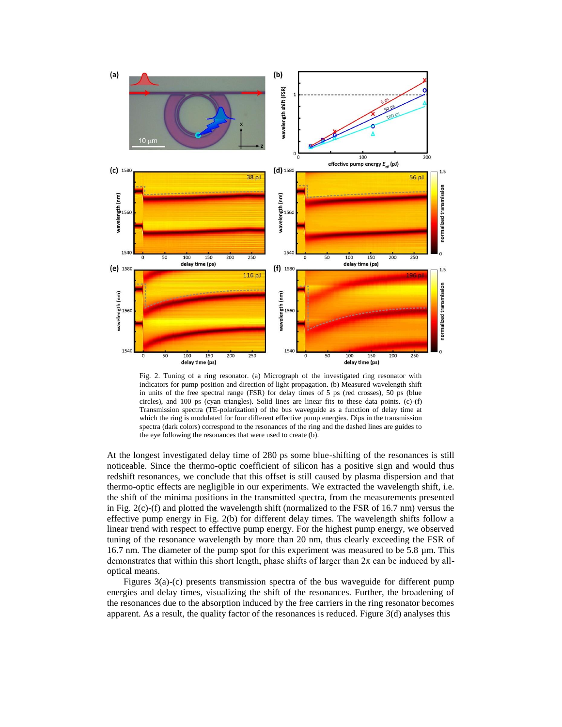

Fig. 2. Tuning of a ring resonator. (a) Micrograph of the investigated ring resonator with indicators for pump position and direction of light propagation. (b) Measured wavelength shift in units of the free spectral range (FSR) for delay times of 5 ps (red crosses), 50 ps (blue circles), and 100 ps (cyan triangles). Solid lines are linear fits to these data points. (c)- $(f)$ Transmission spectra (TE-polarization) of the bus waveguide as a function of delay time at which the ring is modulated for four different effective pump energies. Dips in the transmission spectra (dark colors) correspond to the resonances of the ring and the dashed lines are guides to the eye following the resonances that were used to create (b).

At the longest investigated delay time of 280 ps some blue-shifting of the resonances is still noticeable. Since the thermo-optic coefficient of silicon has a positive sign and would thus redshift resonances, we conclude that this offset is still caused by plasma dispersion and that thermo-optic effects are negligible in our experiments. We extracted the wavelength shift, i.e. the shift of the minima positions in the transmitted spectra, from the measurements presented in Fig. 2(c)-(f) and plotted the wavelength shift (normalized to the FSR of 16.7 nm) versus the effective pump energy in Fig. 2(b) for different delay times. The wavelength shifts follow a linear trend with respect to effective pump energy. For the highest pump energy, we observed tuning of the resonance wavelength by more than 20 nm, thus clearly exceeding the FSR of 16.7 nm. The diameter of the pump spot for this experiment was measured to be 5.8 µm. This demonstrates that within this short length, phase shifts of larger than  $2\pi$  can be induced by alloptical means.

Figures 3(a)-(c) presents transmission spectra of the bus waveguide for different pump energies and delay times, visualizing the shift of the resonances. Further, the broadening of the resonances due to the absorption induced by the free carriers in the ring resonator becomes apparent. As a result, the quality factor of the resonances is reduced. Figure  $3(d)$  analyses this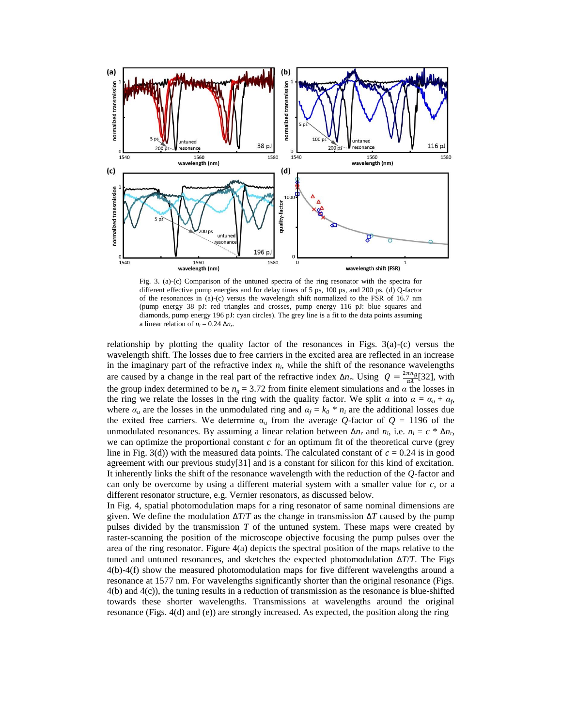

Fig. 3. (a)-(c) Comparison of the untuned spectra of the ring resonator with the spectra for different effective pump energies and for delay times of 5 ps, 100 ps, and 200 ps. (d) Q-factor of the resonances in (a)-(c) versus the wavelength shift normalized to the FSR of 16.7 nm (pump energy 38 pJ: red triangles and crosses, pump energy 116 pJ: blue squares and diamonds, pump energy 196 pJ: cyan circles). The grey line is a fit to the data points assuming a linear relation of  $n_i = 0.24 \Delta n_r$ .

relationship by plotting the quality factor of the resonances in Figs.  $3(a)-(c)$  versus the wavelength shift. The losses due to free carriers in the excited area are reflected in an increase in the imaginary part of the refractive index  $n_i$ , while the shift of the resonance wavelengths are caused by a change in the real part of the refractive index  $\Delta n_r$ . Using  $Q = \frac{2\pi n_g}{\alpha \lambda} [32]$ , with the group index determined to be  $n_g = 3.72$  from finite element simulations and  $\alpha$  the losses in the ring we relate the losses in the ring with the quality factor. We split  $\alpha$  into  $\alpha = \alpha_u + \alpha_f$ , where  $\alpha_u$  are the losses in the unmodulated ring and  $\alpha_f = k_0 * n_i$  are the additional losses due the exited free carriers. We determine  $\alpha_u$  from the average *Q*-factor of  $Q = 1196$  of the unmodulated resonances. By assuming a linear relation between  $\Delta n_r$  and  $n_i$ , i.e.  $n_i = c * \Delta n_r$ , we can optimize the proportional constant *c* for an optimum fit of the theoretical curve (grey line in Fig. 3(d)) with the measured data points. The calculated constant of  $c = 0.24$  is in good agreement with our previous study[31] and is a constant for silicon for this kind of excitation. It inherently links the shift of the resonance wavelength with the reduction of the *Q*-factor and can only be overcome by using a different material system with a smaller value for  $c$ , or a different resonator structure, e.g. Vernier resonators, as discussed below.

In Fig. 4, spatial photomodulation maps for a ring resonator of same nominal dimensions are given. We define the modulation  $\Delta T/T$  as the change in transmission  $\Delta T$  caused by the pump pulses divided by the transmission *T* of the untuned system. These maps were created by raster-scanning the position of the microscope objective focusing the pump pulses over the area of the ring resonator. Figure 4(a) depicts the spectral position of the maps relative to the tuned and untuned resonances, and sketches the expected photomodulation  $\Delta T/T$ . The Figs 4(b)-4(f) show the measured photomodulation maps for five different wavelengths around a resonance at 1577 nm. For wavelengths significantly shorter than the original resonance (Figs. 4(b) and 4(c)), the tuning results in a reduction of transmission as the resonance is blue-shifted towards these shorter wavelengths. Transmissions at wavelengths around the original resonance (Figs. 4(d) and (e)) are strongly increased. As expected, the position along the ring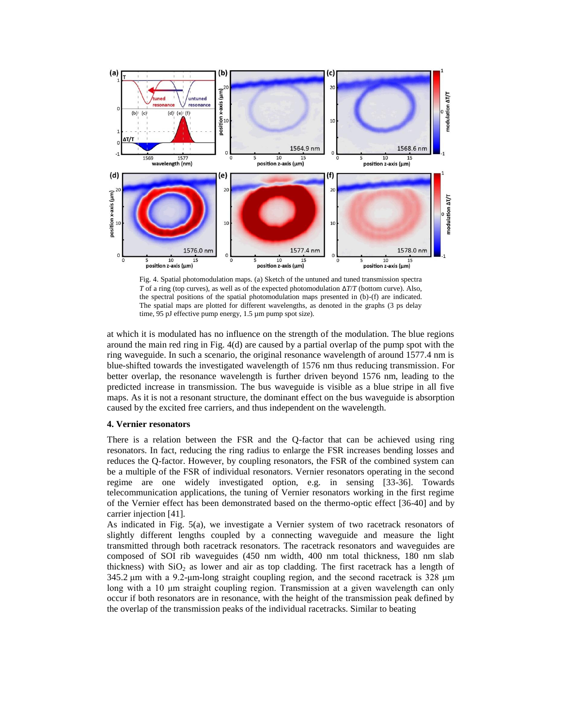

Fig. 4. Spatial photomodulation maps. (a) Sketch of the untuned and tuned transmission spectra *T* of a ring (top curves), as well as of the expected photomodulation Δ*T*/*T* (bottom curve). Also, the spectral positions of the spatial photomodulation maps presented in (b)-(f) are indicated. The spatial maps are plotted for different wavelengths, as denoted in the graphs (3 ps delay time, 95 pJ effective pump energy, 1.5 µm pump spot size).

at which it is modulated has no influence on the strength of the modulation. The blue regions around the main red ring in Fig. 4(d) are caused by a partial overlap of the pump spot with the ring waveguide. In such a scenario, the original resonance wavelength of around 1577.4 nm is blue-shifted towards the investigated wavelength of 1576 nm thus reducing transmission. For better overlap, the resonance wavelength is further driven beyond 1576 nm, leading to the predicted increase in transmission. The bus waveguide is visible as a blue stripe in all five maps. As it is not a resonant structure, the dominant effect on the bus waveguide is absorption caused by the excited free carriers, and thus independent on the wavelength.

### **4. Vernier resonators**

There is a relation between the FSR and the Q-factor that can be achieved using ring resonators. In fact, reducing the ring radius to enlarge the FSR increases bending losses and reduces the Q-factor. However, by coupling resonators, the FSR of the combined system can be a multiple of the FSR of individual resonators. Vernier resonators operating in the second regime are one widely investigated option, e.g. in sensing [33-36]. Towards telecommunication applications, the tuning of Vernier resonators working in the first regime of the Vernier effect has been demonstrated based on the thermo-optic effect [36-40] and by carrier injection [41].

As indicated in Fig. 5(a), we investigate a Vernier system of two racetrack resonators of slightly different lengths coupled by a connecting waveguide and measure the light transmitted through both racetrack resonators. The racetrack resonators and waveguides are composed of SOI rib waveguides (450 nm width, 400 nm total thickness, 180 nm slab thickness) with  $SiO<sub>2</sub>$  as lower and air as top cladding. The first racetrack has a length of 345.2 μm with a 9.2-μm-long straight coupling region, and the second racetrack is 328 μm long with a 10 μm straight coupling region. Transmission at a given wavelength can only occur if both resonators are in resonance, with the height of the transmission peak defined by the overlap of the transmission peaks of the individual racetracks. Similar to beating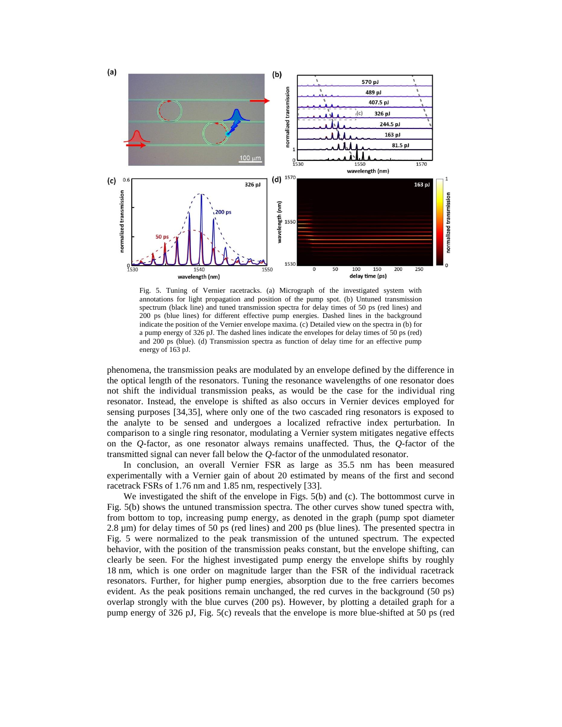

Fig. 5. Tuning of Vernier racetracks. (a) Micrograph of the investigated system with annotations for light propagation and position of the pump spot. (b) Untuned transmission spectrum (black line) and tuned transmission spectra for delay times of 50 ps (red lines) and 200 ps (blue lines) for different effective pump energies. Dashed lines in the background indicate the position of the Vernier envelope maxima. (c) Detailed view on the spectra in (b) for a pump energy of 326 pJ. The dashed lines indicate the envelopes for delay times of 50 ps (red) and 200 ps (blue). (d) Transmission spectra as function of delay time for an effective pump energy of 163 pJ.

phenomena, the transmission peaks are modulated by an envelope defined by the difference in the optical length of the resonators. Tuning the resonance wavelengths of one resonator does not shift the individual transmission peaks, as would be the case for the individual ring resonator. Instead, the envelope is shifted as also occurs in Vernier devices employed for sensing purposes [34,35], where only one of the two cascaded ring resonators is exposed to the analyte to be sensed and undergoes a localized refractive index perturbation. In comparison to a single ring resonator, modulating a Vernier system mitigates negative effects on the *Q*-factor, as one resonator always remains unaffected. Thus, the *Q*-factor of the transmitted signal can never fall below the *Q*-factor of the unmodulated resonator.

In conclusion, an overall Vernier FSR as large as 35.5 nm has been measured experimentally with a Vernier gain of about 20 estimated by means of the first and second racetrack FSRs of 1.76 nm and 1.85 nm, respectively [33].

We investigated the shift of the envelope in Figs. 5(b) and (c). The bottommost curve in Fig. 5(b) shows the untuned transmission spectra. The other curves show tuned spectra with, from bottom to top, increasing pump energy, as denoted in the graph (pump spot diameter 2.8 µm) for delay times of 50 ps (red lines) and 200 ps (blue lines). The presented spectra in Fig. 5 were normalized to the peak transmission of the untuned spectrum. The expected behavior, with the position of the transmission peaks constant, but the envelope shifting, can clearly be seen. For the highest investigated pump energy the envelope shifts by roughly 18 nm, which is one order on magnitude larger than the FSR of the individual racetrack resonators. Further, for higher pump energies, absorption due to the free carriers becomes evident. As the peak positions remain unchanged, the red curves in the background (50 ps) overlap strongly with the blue curves (200 ps). However, by plotting a detailed graph for a pump energy of 326 pJ, Fig. 5(c) reveals that the envelope is more blue-shifted at 50 ps (red